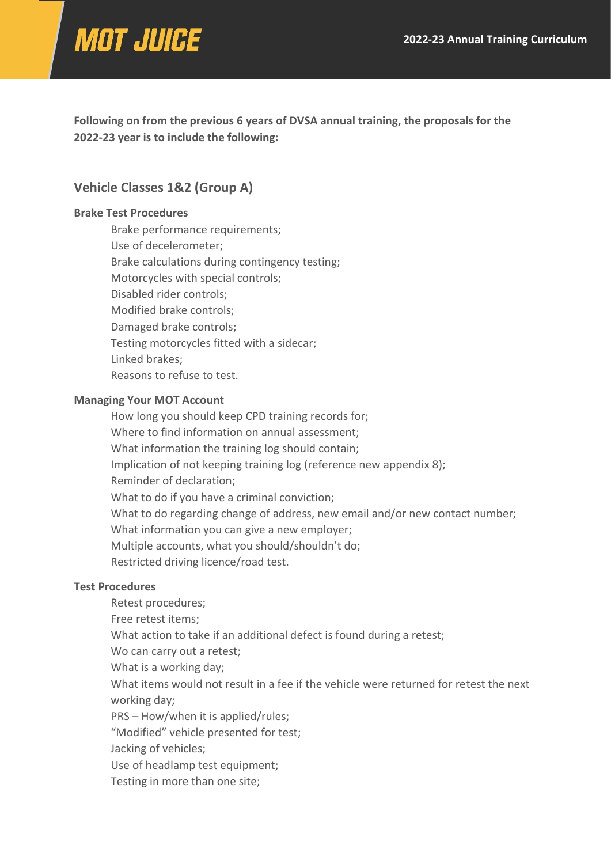# **MOT JUICE**

**Following on from the previous 6 years of DVSA annual training, the proposals for the 2022-23 year is to include the following:**

## **Vehicle Classes 1&2 (Group A)**

#### **Brake Test Procedures**

Brake performance requirements; Use of decelerometer; Brake calculations during contingency testing; Motorcycles with special controls; Disabled rider controls; Modified brake controls; Damaged brake controls; Testing motorcycles fitted with a sidecar; Linked brakes; Reasons to refuse to test.

### **Managing Your MOT Account**

How long you should keep CPD training records for; Where to find information on annual assessment; What information the training log should contain; Implication of not keeping training log (reference new appendix 8); Reminder of declaration; What to do if you have a criminal conviction; What to do regarding change of address, new email and/or new contact number; What information you can give a new employer; Multiple accounts, what you should/shouldn't do; Restricted driving licence/road test.

### **Test Procedures**

Retest procedures; Free retest items; What action to take if an additional defect is found during a retest; Wo can carry out a retest; What is a working day; What items would not result in a fee if the vehicle were returned for retest the next working day; PRS – How/when it is applied/rules; "Modified" vehicle presented for test; Jacking of vehicles; Use of headlamp test equipment; Testing in more than one site;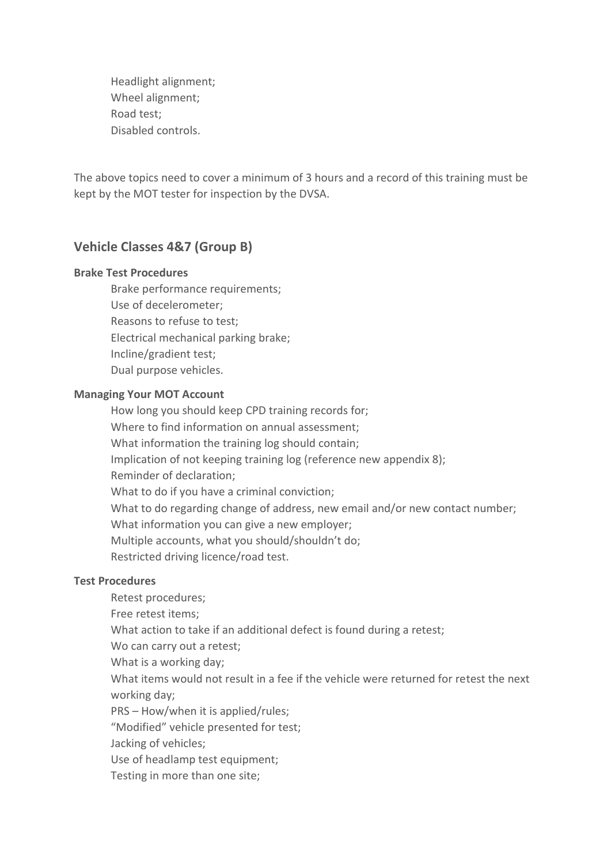Headlight alignment; Wheel alignment; Road test; Disabled controls.

The above topics need to cover a minimum of 3 hours and a record of this training must be kept by the MOT tester for inspection by the DVSA.

## **Vehicle Classes 4&7 (Group B)**

### **Brake Test Procedures**

Brake performance requirements; Use of decelerometer; Reasons to refuse to test; Electrical mechanical parking brake; Incline/gradient test; Dual purpose vehicles.

#### **Managing Your MOT Account**

How long you should keep CPD training records for; Where to find information on annual assessment; What information the training log should contain; Implication of not keeping training log (reference new appendix 8); Reminder of declaration; What to do if you have a criminal conviction; What to do regarding change of address, new email and/or new contact number; What information you can give a new employer; Multiple accounts, what you should/shouldn't do; Restricted driving licence/road test.

#### **Test Procedures**

Retest procedures; Free retest items; What action to take if an additional defect is found during a retest; Wo can carry out a retest; What is a working day; What items would not result in a fee if the vehicle were returned for retest the next working day; PRS – How/when it is applied/rules; "Modified" vehicle presented for test; Jacking of vehicles;

Use of headlamp test equipment;

Testing in more than one site;